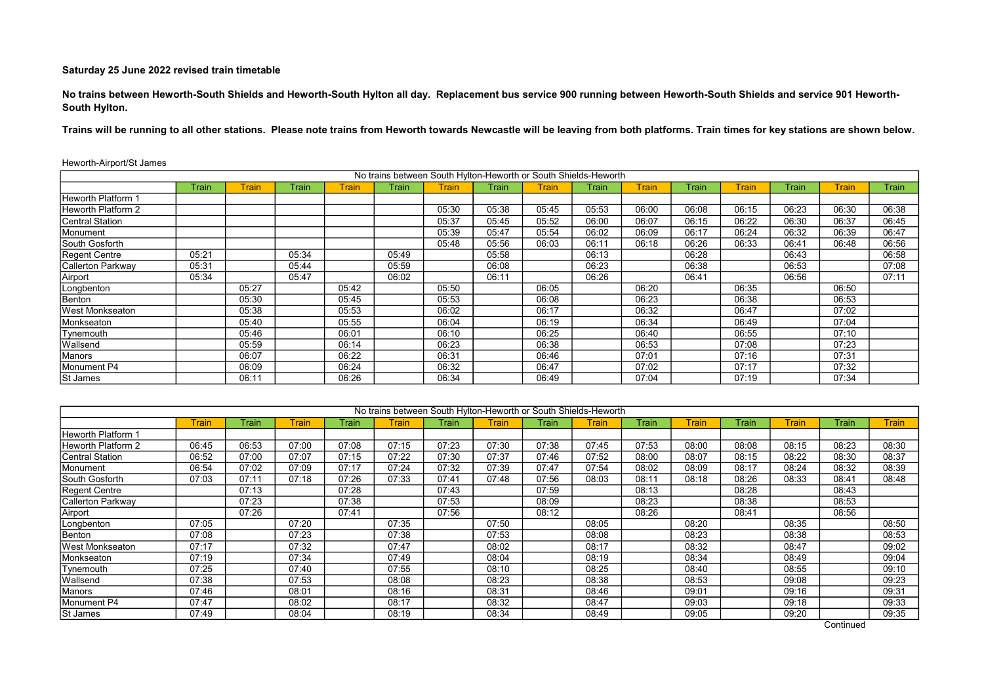No trains between Heworth-South Shields and Heworth-South Hylton all day. Replacement bus service 900 running between Heworth-South Shields and service 901 Heworth-South Hylton.

Trains will be running to all other stations. Please note trains from Heworth towards Newcastle will be leaving from both platforms. Train times for key stations are shown below.

|                        |       |              |       |              | No trains between South Hylton-Heworth or South Shields-Heworth |              |       |       |       |              |       |              |       |              |       |
|------------------------|-------|--------------|-------|--------------|-----------------------------------------------------------------|--------------|-------|-------|-------|--------------|-------|--------------|-------|--------------|-------|
|                        | Train | <b>Train</b> | Train | <b>Train</b> | Train                                                           | <b>Train</b> | Train | Train | Train | <b>Train</b> | Train | <b>Train</b> | Train | <b>Train</b> | Train |
| Heworth Platform 1     |       |              |       |              |                                                                 |              |       |       |       |              |       |              |       |              |       |
| Heworth Platform 2     |       |              |       |              |                                                                 | 05:30        | 05:38 | 05:45 | 05:53 | 06:00        | 06:08 | 06:15        | 06:23 | 06:30        | 06:38 |
| Central Station        |       |              |       |              |                                                                 | 05:37        | 05:45 | 05:52 | 06:00 | 06:07        | 06:15 | 06:22        | 06:30 | 06:37        | 06:45 |
| Monument               |       |              |       |              |                                                                 | 05:39        | 05:47 | 05:54 | 06:02 | 06:09        | 06:17 | 06:24        | 06:32 | 06:39        | 06:47 |
| South Gosforth         |       |              |       |              |                                                                 | 05:48        | 05:56 | 06:03 | 06:11 | 06:18        | 06:26 | 06:33        | 06:41 | 06:48        | 06:56 |
| Regent Centre          | 05:21 |              | 05:34 |              | 05:49                                                           |              | 05:58 |       | 06:13 |              | 06:28 |              | 06:43 |              | 06:58 |
| Callerton Parkway      | 05:31 |              | 05:44 |              | 05:59                                                           |              | 06:08 |       | 06:23 |              | 06:38 |              | 06:53 |              | 07:08 |
| Airport                | 05:34 |              | 05:47 |              | 06:02                                                           |              | 06:11 |       | 06:26 |              | 06:41 |              | 06:56 |              | 07:11 |
| Longbenton             |       | 05:27        |       | 05:42        |                                                                 | 05:50        |       | 06:05 |       | 06:20        |       | 06:35        |       | 06:50        |       |
| Benton                 |       | 05:30        |       | 05:45        |                                                                 | 05:53        |       | 06:08 |       | 06:23        |       | 06:38        |       | 06:53        |       |
| <b>West Monkseaton</b> |       | 05:38        |       | 05:53        |                                                                 | 06:02        |       | 06:17 |       | 06:32        |       | 06:47        |       | 07:02        |       |
| Monkseaton             |       | 05:40        |       | 05:55        |                                                                 | 06:04        |       | 06:19 |       | 06:34        |       | 06:49        |       | 07:04        |       |
| Tynemouth              |       | 05:46        |       | 06:01        |                                                                 | 06:10        |       | 06:25 |       | 06:40        |       | 06:55        |       | 07:10        |       |
| Wallsend               |       | 05:59        |       | 06:14        |                                                                 | 06:23        |       | 06:38 |       | 06:53        |       | 07:08        |       | 07:23        |       |
| Manors                 |       | 06:07        |       | 06:22        |                                                                 | 06:31        |       | 06:46 |       | 07:01        |       | 07:16        |       | 07:31        |       |
| Monument P4            |       | 06:09        |       | 06:24        |                                                                 | 06:32        |       | 06:47 |       | 07:02        |       | 07:17        |       | 07:32        |       |
| St James               |       | 06:11        |       | 06:26        |                                                                 | 06:34        |       | 06:49 |       | 07:04        |       | 07:19        |       | 07:34        |       |

|                        |              |       |       |       |              |       | No trains between South Hylton-Heworth or South Shields-Heworth |       |       |       |       |       |              |       |              |
|------------------------|--------------|-------|-------|-------|--------------|-------|-----------------------------------------------------------------|-------|-------|-------|-------|-------|--------------|-------|--------------|
|                        | <b>Train</b> | Train | Train | Train | <b>Train</b> | Train | Train                                                           | Train | Train | Train | Train | Train | <b>Train</b> | Train | <b>Train</b> |
| Heworth Platform 1     |              |       |       |       |              |       |                                                                 |       |       |       |       |       |              |       |              |
| Heworth Platform 2     | 06:45        | 06:53 | 07:00 | 07:08 | 07:15        | 07:23 | 07:30                                                           | 07:38 | 07:45 | 07:53 | 08:00 | 08:08 | 08:15        | 08:23 | 08:30        |
| Central Station        | 06:52        | 07:00 | 07:07 | 07:15 | 07:22        | 07:30 | 07:37                                                           | 07:46 | 07:52 | 08:00 | 08:07 | 08:15 | 08:22        | 08:30 | 08:37        |
| Monument               | 06:54        | 07:02 | 07:09 | 07:17 | 07:24        | 07:32 | 07:39                                                           | 07:47 | 07:54 | 08:02 | 08:09 | 08:17 | 08:24        | 08:32 | 08:39        |
| South Gosforth         | 07:03        | 07:11 | 07:18 | 07:26 | 07:33        | 07:41 | 07:48                                                           | 07:56 | 08:03 | 08:11 | 08:18 | 08:26 | 08:33        | 08:41 | 08:48        |
| Regent Centre          |              | 07:13 |       | 07:28 |              | 07:43 |                                                                 | 07:59 |       | 08:13 |       | 08:28 |              | 08:43 |              |
| Callerton Parkway      |              | 07:23 |       | 07:38 |              | 07:53 |                                                                 | 08:09 |       | 08:23 |       | 08:38 |              | 08:53 |              |
| Airport                |              | 07:26 |       | 07:41 |              | 07:56 |                                                                 | 08:12 |       | 08:26 |       | 08:41 |              | 08:56 |              |
| Longbenton             | 07:05        |       | 07:20 |       | 07:35        |       | 07:50                                                           |       | 08:05 |       | 08:20 |       | 08:35        |       | 08:50        |
| Benton                 | 07:08        |       | 07:23 |       | 07:38        |       | 07:53                                                           |       | 08:08 |       | 08:23 |       | 08:38        |       | 08:53        |
| <b>West Monkseaton</b> | 07:17        |       | 07:32 |       | 07:47        |       | 08:02                                                           |       | 08:17 |       | 08:32 |       | 08:47        |       | 09:02        |
| Monkseaton             | 07:19        |       | 07:34 |       | 07:49        |       | 08:04                                                           |       | 08:19 |       | 08:34 |       | 08:49        |       | 09:04        |
| Tynemouth              | 07:25        |       | 07:40 |       | 07:55        |       | 08:10                                                           |       | 08:25 |       | 08:40 |       | 08:55        |       | 09:10        |
| Wallsend               | 07:38        |       | 07:53 |       | 08:08        |       | 08:23                                                           |       | 08:38 |       | 08:53 |       | 09:08        |       | 09:23        |
| Manors                 | 07:46        |       | 08:01 |       | 08:16        |       | 08:31                                                           |       | 08:46 |       | 09:01 |       | 09:16        |       | 09:31        |
| Monument P4            | 07:47        |       | 08:02 |       | 08:17        |       | 08:32                                                           |       | 08:47 |       | 09:03 |       | 09:18        |       | 09:33        |
| St James               | 07:49        |       | 08:04 |       | 08:19        |       | 08:34                                                           |       | 08:49 |       | 09:05 |       | 09:20        |       | 09:35        |

**Continued**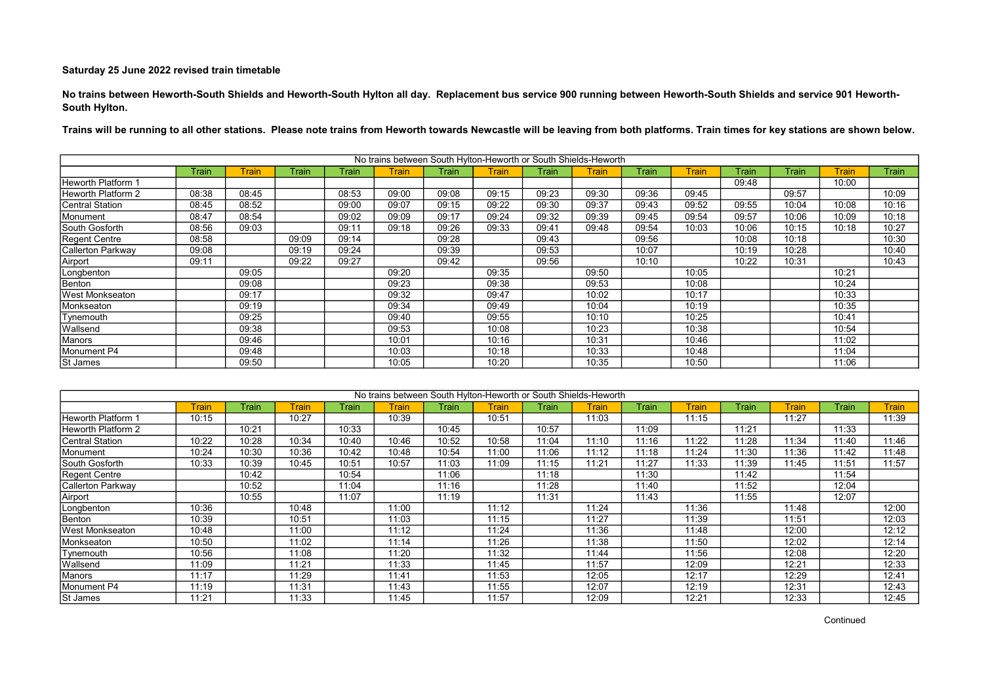No trains between Heworth-South Shields and Heworth-South Hylton all day. Replacement bus service 900 running between Heworth-South Shields and service 901 Heworth-South Hylton.

|                           |       |              |       |       | No trains between South Hylton-Heworth or South Shields-Heworth |       |       |       |       |       |              |              |       |              |       |
|---------------------------|-------|--------------|-------|-------|-----------------------------------------------------------------|-------|-------|-------|-------|-------|--------------|--------------|-------|--------------|-------|
|                           | Train | <b>Train</b> | Train | Train | <b>Train</b>                                                    | Train | Train | Train | Train | Train | <b>Train</b> | <b>Train</b> | Train | <b>Train</b> | Train |
| <b>Heworth Platform 1</b> |       |              |       |       |                                                                 |       |       |       |       |       |              | 09:48        |       | 10:00        |       |
| Heworth Platform 2        | 08:38 | 08:45        |       | 08:53 | 09:00                                                           | 09:08 | 09:15 | 09:23 | 09:30 | 09:36 | 09:45        |              | 09:57 |              | 10:09 |
| <b>Central Station</b>    | 08:45 | 08:52        |       | 09:00 | 09:07                                                           | 09:15 | 09:22 | 09:30 | 09:37 | 09:43 | 09:52        | 09:55        | 10:04 | 10:08        | 10:16 |
| Monument                  | 08:47 | 08:54        |       | 09:02 | 09:09                                                           | 09:17 | 09:24 | 09:32 | 09:39 | 09:45 | 09:54        | 09:57        | 10:06 | 10:09        | 10:18 |
| South Gosforth            | 08:56 | 09:03        |       | 09:11 | 09:18                                                           | 09:26 | 09:33 | 09:41 | 09:48 | 09:54 | 10:03        | 10:06        | 10:15 | 10:18        | 10:27 |
| Regent Centre             | 08:58 |              | 09:09 | 09:14 |                                                                 | 09:28 |       | 09:43 |       | 09:56 |              | 10:08        | 10:18 |              | 10:30 |
| Callerton Parkway         | 09:08 |              | 09:19 | 09:24 |                                                                 | 09:39 |       | 09:53 |       | 10:07 |              | 10:19        | 10:28 |              | 10:40 |
| Airport                   | 09:11 |              | 09:22 | 09:27 |                                                                 | 09:42 |       | 09:56 |       | 10:10 |              | 10:22        | 10:31 |              | 10:43 |
| Longbenton                |       | 09:05        |       |       | 09:20                                                           |       | 09:35 |       | 09:50 |       | 10:05        |              |       | 10:21        |       |
| Benton                    |       | 09:08        |       |       | 09:23                                                           |       | 09:38 |       | 09:53 |       | 10:08        |              |       | 10:24        |       |
| <b>West Monkseaton</b>    |       | 09:17        |       |       | 09:32                                                           |       | 09:47 |       | 10:02 |       | 10:17        |              |       | 10:33        |       |
| Monkseaton                |       | 09:19        |       |       | 09:34                                                           |       | 09:49 |       | 10:04 |       | 10:19        |              |       | 10:35        |       |
| Tynemouth                 |       | 09:25        |       |       | 09:40                                                           |       | 09:55 |       | 10:10 |       | 10:25        |              |       | 10:41        |       |
| Wallsend                  |       | 09:38        |       |       | 09:53                                                           |       | 10:08 |       | 10:23 |       | 10:38        |              |       | 10:54        |       |
| Manors                    |       | 09:46        |       |       | 10:01                                                           |       | 10:16 |       | 10:31 |       | 10:46        |              |       | 11:02        |       |
| Monument P4               |       | 09:48        |       |       | 10:03                                                           |       | 10:18 |       | 10:33 |       | 10:48        |              |       | 11:04        |       |
| St James                  |       | 09:50        |       |       | 10:05                                                           |       | 10:20 |       | 10:35 |       | 10:50        |              |       | 11:06        |       |

|                    |       |       |              |       |              | No trains between South Hylton-Heworth or South Shields-Heworth |       |       |       |       |              |       |              |         |              |
|--------------------|-------|-------|--------------|-------|--------------|-----------------------------------------------------------------|-------|-------|-------|-------|--------------|-------|--------------|---------|--------------|
|                    | Train | Train | <b>Train</b> | Train | <b>Train</b> | Train                                                           | Train | Train | Train | Train | <b>Train</b> | Train | <b>Train</b> | Frain l | <b>Train</b> |
| Heworth Platform 1 | 10:15 |       | 10:27        |       | 10:39        |                                                                 | 10:51 |       | 11:03 |       | 11:15        |       | 11:27        |         | 11:39        |
| Heworth Platform 2 |       | 10:21 |              | 10:33 |              | 10:45                                                           |       | 10:57 |       | 11:09 |              | 11:21 |              | 11:33   |              |
| Central Station    | 10:22 | 10:28 | 10:34        | 10:40 | 10:46        | 10:52                                                           | 10:58 | 11:04 | 11:10 | 11:16 | 11:22        | 11:28 | 11:34        | 11:40   | 11:46        |
| Monument           | 10:24 | 10:30 | 10:36        | 10:42 | 10:48        | 10:54                                                           | 11:00 | 11:06 | 11:12 | 11:18 | 11:24        | 11:30 | 11:36        | 11:42   | 11:48        |
| South Gosforth     | 10:33 | 10:39 | 10:45        | 10:51 | 10:57        | 11:03                                                           | 11:09 | 11:15 | 11:21 | 11:27 | 11:33        | 11:39 | 11:45        | 11:51   | 11:57        |
| Regent Centre      |       | 10:42 |              | 10:54 |              | 11:06                                                           |       | 11:18 |       | 11:30 |              | 11:42 |              | 11:54   |              |
| Callerton Parkway  |       | 10:52 |              | 11:04 |              | 11:16                                                           |       | 11:28 |       | 11:40 |              | 11:52 |              | 12:04   |              |
| Airport            |       | 10:55 |              | 11:07 |              | 11:19                                                           |       | 11:31 |       | 11:43 |              | 11:55 |              | 12:07   |              |
| Longbenton         | 10:36 |       | 10:48        |       | 11:00        |                                                                 | 11:12 |       | 11:24 |       | 11:36        |       | 11:48        |         | 12:00        |
| Benton             | 10:39 |       | 10:51        |       | 11:03        |                                                                 | 11:15 |       | 11:27 |       | 11:39        |       | 11:51        |         | 12:03        |
| West Monkseaton    | 10:48 |       | 11:00        |       | 11:12        |                                                                 | 11:24 |       | 11:36 |       | 11:48        |       | 12:00        |         | 12:12        |
| Monkseaton         | 10:50 |       | 11:02        |       | 11:14        |                                                                 | 11:26 |       | 11:38 |       | 11:50        |       | 12:02        |         | 12:14        |
| Tynemouth          | 10:56 |       | 11:08        |       | 11:20        |                                                                 | 11:32 |       | 11:44 |       | 11:56        |       | 12:08        |         | 12:20        |
| Wallsend           | 11:09 |       | 11:21        |       | 11:33        |                                                                 | 11:45 |       | 11:57 |       | 12:09        |       | 12:21        |         | 12:33        |
| Manors             | 11:17 |       | 11:29        |       | 11:41        |                                                                 | 11:53 |       | 12:05 |       | 12:17        |       | 12:29        |         | 12:41        |
| Monument P4        | 11:19 |       | 11:31        |       | 11:43        |                                                                 | 11:55 |       | 12:07 |       | 12:19        |       | 12:31        |         | 12:43        |
| <b>St James</b>    | 11:21 |       | 11:33        |       | 11:45        |                                                                 | 11:57 |       | 12:09 |       | 12:21        |       | 12:33        |         | 12:45        |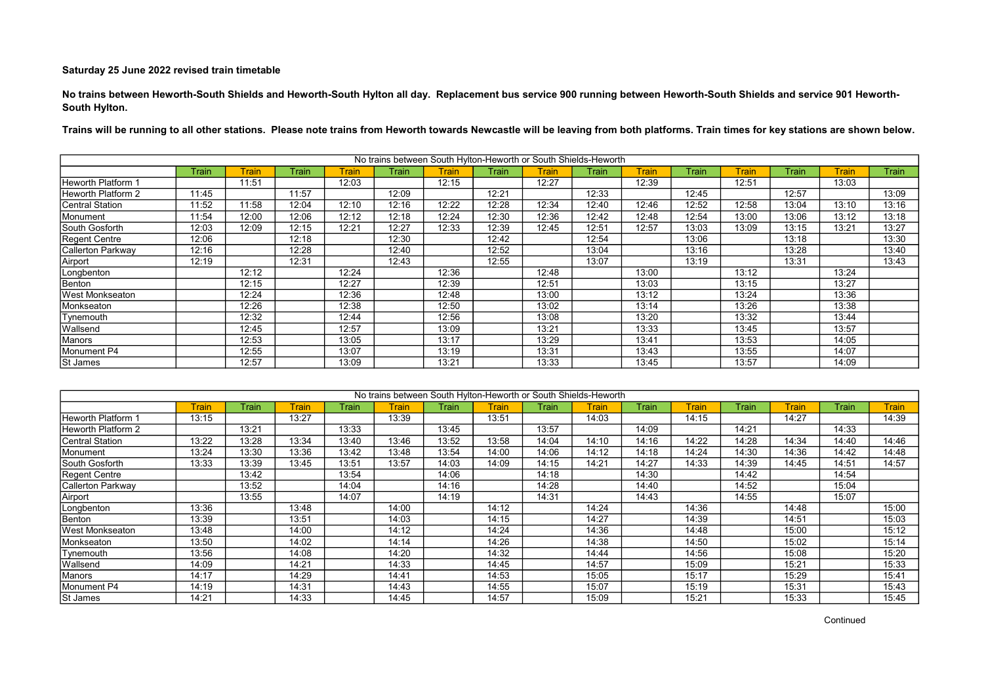No trains between Heworth-South Shields and Heworth-South Hylton all day. Replacement bus service 900 running between Heworth-South Shields and service 901 Heworth-South Hylton.

|                           |              |              |       |              |       |              | No trains between South Hylton-Heworth or South Shields-Heworth |       |       |              |       |              |       |              |       |
|---------------------------|--------------|--------------|-------|--------------|-------|--------------|-----------------------------------------------------------------|-------|-------|--------------|-------|--------------|-------|--------------|-------|
|                           | <b>Train</b> | <b>Train</b> | Train | <b>Train</b> | Train | <b>Train</b> | Train                                                           | Train | Train | <b>Train</b> | Train | <b>Train</b> | Train | <b>Train</b> | Train |
| <b>Heworth Platform 1</b> |              | 11:51        |       | 12:03        |       | 12:15        |                                                                 | 12:27 |       | 12:39        |       | 12:51        |       | 13:03        |       |
| Heworth Platform 2        | 11:45        |              | 11:57 |              | 12:09 |              | 12:21                                                           |       | 12:33 |              | 12:45 |              | 12:57 |              | 13:09 |
| <b>Central Station</b>    | 11:52        | 11:58        | 12:04 | 12:10        | 12:16 | 12:22        | 12:28                                                           | 12:34 | 12:40 | 12:46        | 12:52 | 12:58        | 13:04 | 13:10        | 13:16 |
| Monument                  | 11:54        | 12:00        | 12:06 | 12:12        | 12:18 | 12:24        | 12:30                                                           | 12:36 | 12:42 | 12:48        | 12:54 | 13:00        | 13:06 | 13:12        | 13:18 |
| South Gosforth            | 12:03        | 12:09        | 12:15 | 12:21        | 12:27 | 12:33        | 12:39                                                           | 12:45 | 12:51 | 12:57        | 13:03 | 13:09        | 13:15 | 13:21        | 13:27 |
| Regent Centre             | 12:06        |              | 12:18 |              | 12:30 |              | 12:42                                                           |       | 12:54 |              | 13:06 |              | 13:18 |              | 13:30 |
| Callerton Parkway         | 12:16        |              | 12:28 |              | 12:40 |              | 12:52                                                           |       | 13:04 |              | 13:16 |              | 13:28 |              | 13:40 |
| Airport                   | 12:19        |              | 12:31 |              | 12:43 |              | 12:55                                                           |       | 13:07 |              | 13:19 |              | 13:31 |              | 13:43 |
| Longbenton                |              | 12:12        |       | 12:24        |       | 12:36        |                                                                 | 12:48 |       | 13:00        |       | 13:12        |       | 13:24        |       |
| Benton                    |              | 12:15        |       | 12:27        |       | 12:39        |                                                                 | 12:51 |       | 13:03        |       | 13:15        |       | 13:27        |       |
| <b>West Monkseaton</b>    |              | 12:24        |       | 12:36        |       | 12:48        |                                                                 | 13:00 |       | 13:12        |       | 13:24        |       | 13:36        |       |
| Monkseaton                |              | 12:26        |       | 12:38        |       | 12:50        |                                                                 | 13:02 |       | 13:14        |       | 13:26        |       | 13:38        |       |
| Tynemouth                 |              | 12:32        |       | 12:44        |       | 12:56        |                                                                 | 13:08 |       | 13:20        |       | 13:32        |       | 13:44        |       |
| Wallsend                  |              | 12:45        |       | 12:57        |       | 13:09        |                                                                 | 13:21 |       | 13:33        |       | 13:45        |       | 13:57        |       |
| Manors                    |              | 12:53        |       | 13:05        |       | 13:17        |                                                                 | 13:29 |       | 13:41        |       | 13:53        |       | 14:05        |       |
| Monument P4               |              | 12:55        |       | 13:07        |       | 13:19        |                                                                 | 13:31 |       | 13:43        |       | 13:55        |       | 14:07        |       |
| St James                  |              | 12:57        |       | 13:09        |       | 13:21        |                                                                 | 13:33 |       | 13:45        |       | 13:57        |       | 14:09        |       |

|                        |       |       |              |       |              |       |       |       | No trains between South Hylton-Heworth or South Shields-Heworth |       |              |       |       |         |              |
|------------------------|-------|-------|--------------|-------|--------------|-------|-------|-------|-----------------------------------------------------------------|-------|--------------|-------|-------|---------|--------------|
|                        | Train | Train | <b>Train</b> | Train | <b>Train</b> | Train | Train | Train | Train                                                           | Train | <b>Train</b> | Train | Train | Frain l | <b>Train</b> |
| Heworth Platform 1     | 13:15 |       | 13:27        |       | 13:39        |       | 13:51 |       | 14:03                                                           |       | 14:15        |       | 14:27 |         | 14:39        |
| Heworth Platform 2     |       | 13:21 |              | 13:33 |              | 13:45 |       | 13:57 |                                                                 | 14:09 |              | 14:21 |       | 14:33   |              |
| Central Station        | 13:22 | 13:28 | 13:34        | 13:40 | 13:46        | 13:52 | 13:58 | 14:04 | 14:10                                                           | 14:16 | 14:22        | 14:28 | 14:34 | 14:40   | 14:46        |
| Monument               | 13:24 | 13:30 | 13:36        | 13:42 | 13:48        | 13:54 | 14:00 | 14:06 | 14:12                                                           | 14:18 | 14:24        | 14:30 | 14:36 | 14:42   | 14:48        |
| South Gosforth         | 13:33 | 13:39 | 13:45        | 13:51 | 13:57        | 14:03 | 14:09 | 14:15 | 14:21                                                           | 14:27 | 14:33        | 14:39 | 14:45 | 14:51   | 14:57        |
| Regent Centre          |       | 13:42 |              | 13:54 |              | 14:06 |       | 14:18 |                                                                 | 14:30 |              | 14:42 |       | 14:54   |              |
| Callerton Parkway      |       | 13:52 |              | 14:04 |              | 14:16 |       | 14:28 |                                                                 | 14:40 |              | 14:52 |       | 15:04   |              |
| Airport                |       | 13:55 |              | 14:07 |              | 14:19 |       | 14:31 |                                                                 | 14:43 |              | 14:55 |       | 15:07   |              |
| Longbenton             | 13:36 |       | 13:48        |       | 14:00        |       | 14:12 |       | 14:24                                                           |       | 14:36        |       | 14:48 |         | 15:00        |
| Benton                 | 13:39 |       | 13:51        |       | 14:03        |       | 14:15 |       | 14:27                                                           |       | 14:39        |       | 14:51 |         | 15:03        |
| <b>West Monkseaton</b> | 13:48 |       | 14:00        |       | 14:12        |       | 14:24 |       | 14:36                                                           |       | 14:48        |       | 15:00 |         | 15:12        |
| Monkseaton             | 13:50 |       | 14:02        |       | 14:14        |       | 14:26 |       | 14:38                                                           |       | 14:50        |       | 15:02 |         | 15:14        |
| Tynemouth              | 13:56 |       | 14:08        |       | 14:20        |       | 14:32 |       | 14:44                                                           |       | 14:56        |       | 15:08 |         | 15:20        |
| Wallsend               | 14:09 |       | 14:21        |       | 14:33        |       | 14:45 |       | 14:57                                                           |       | 15:09        |       | 15:21 |         | 15:33        |
| Manors                 | 14:17 |       | 14:29        |       | 14:41        |       | 14:53 |       | 15:05                                                           |       | 15:17        |       | 15:29 |         | 15:41        |
| Monument P4            | 14:19 |       | 14:31        |       | 14:43        |       | 14:55 |       | 15:07                                                           |       | 15:19        |       | 15:31 |         | 15:43        |
| <b>St James</b>        | 14:21 |       | 14:33        |       | 14:45        |       | 14:57 |       | 15:09                                                           |       | 15:21        |       | 15:33 |         | 15:45        |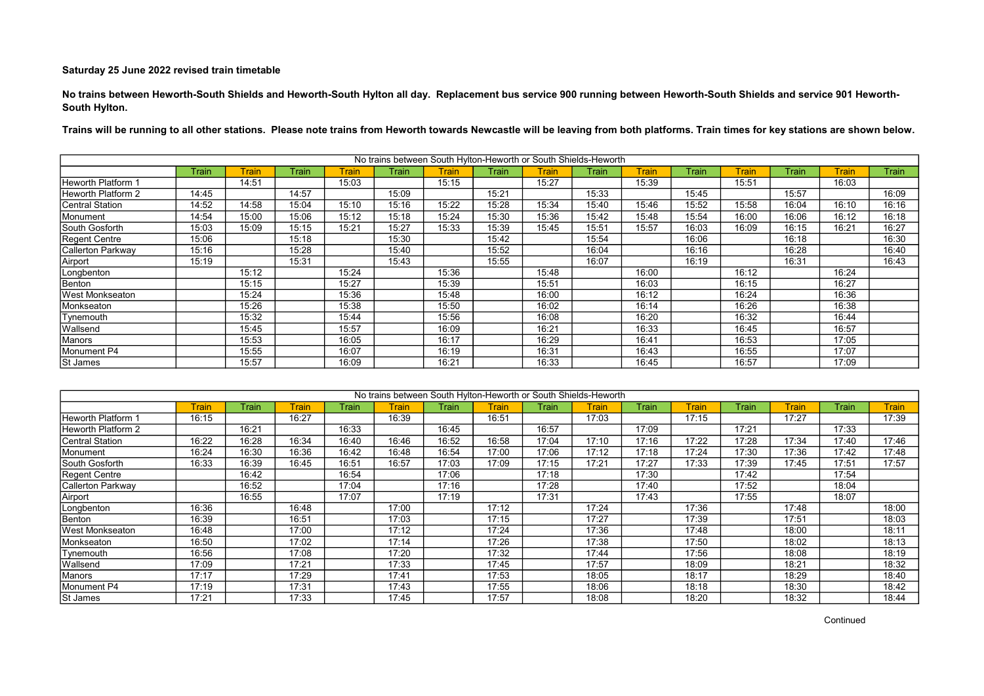No trains between Heworth-South Shields and Heworth-South Hylton all day. Replacement bus service 900 running between Heworth-South Shields and service 901 Heworth-South Hylton.

|                           |       |              |       |        |       | No trains between South Hylton-Heworth or South Shields-Heworth |       |       |       |              |       |              |       |              |       |
|---------------------------|-------|--------------|-------|--------|-------|-----------------------------------------------------------------|-------|-------|-------|--------------|-------|--------------|-------|--------------|-------|
|                           | Train | <b>Train</b> | Train | Train. | Train | <b>Train</b>                                                    | Train | Train | Train | <b>Train</b> | Train | <b>Train</b> | Train | <b>Train</b> | Train |
| <b>Heworth Platform 1</b> |       | 14:51        |       | 15:03  |       | 15:15                                                           |       | 15:27 |       | 15:39        |       | 15:51        |       | 16:03        |       |
| Heworth Platform 2        | 14:45 |              | 14:57 |        | 15:09 |                                                                 | 15:21 |       | 15:33 |              | 15:45 |              | 15:57 |              | 16:09 |
| <b>Central Station</b>    | 14:52 | 14:58        | 15:04 | 15:10  | 15:16 | 15:22                                                           | 15:28 | 15:34 | 15:40 | 15:46        | 15:52 | 15:58        | 16:04 | 16:10        | 16:16 |
| Monument                  | 14:54 | 15:00        | 15:06 | 15:12  | 15:18 | 15:24                                                           | 15:30 | 15:36 | 15:42 | 15:48        | 15:54 | 16:00        | 16:06 | 16:12        | 16:18 |
| South Gosforth            | 15:03 | 15:09        | 15:15 | 15:21  | 15:27 | 15:33                                                           | 15:39 | 15:45 | 15:51 | 15:57        | 16:03 | 16:09        | 16:15 | 16:21        | 16:27 |
| Regent Centre             | 15:06 |              | 15:18 |        | 15:30 |                                                                 | 15:42 |       | 15:54 |              | 16:06 |              | 16:18 |              | 16:30 |
| Callerton Parkway         | 15:16 |              | 15:28 |        | 15:40 |                                                                 | 15:52 |       | 16:04 |              | 16:16 |              | 16:28 |              | 16:40 |
| Airport                   | 15:19 |              | 15:31 |        | 15:43 |                                                                 | 15:55 |       | 16:07 |              | 16:19 |              | 16:31 |              | 16:43 |
| Longbenton                |       | 15:12        |       | 15:24  |       | 15:36                                                           |       | 15:48 |       | 16:00        |       | 16:12        |       | 16:24        |       |
| Benton                    |       | 15:15        |       | 15:27  |       | 15:39                                                           |       | 15:51 |       | 16:03        |       | 16:15        |       | 16:27        |       |
| <b>West Monkseaton</b>    |       | 15:24        |       | 15:36  |       | 15:48                                                           |       | 16:00 |       | 16:12        |       | 16:24        |       | 16:36        |       |
| Monkseaton                |       | 15:26        |       | 15:38  |       | 15:50                                                           |       | 16:02 |       | 16:14        |       | 16:26        |       | 16:38        |       |
| Tynemouth                 |       | 15:32        |       | 15:44  |       | 15:56                                                           |       | 16:08 |       | 16:20        |       | 16:32        |       | 16:44        |       |
| Wallsend                  |       | 15:45        |       | 15:57  |       | 16:09                                                           |       | 16:21 |       | 16:33        |       | 16:45        |       | 16:57        |       |
| Manors                    |       | 15:53        |       | 16:05  |       | 16:17                                                           |       | 16:29 |       | 16:41        |       | 16:53        |       | 17:05        |       |
| Monument P4               |       | 15:55        |       | 16:07  |       | 16:19                                                           |       | 16:31 |       | 16:43        |       | 16:55        |       | 17:07        |       |
| St James                  |       | 15:57        |       | 16:09  |       | 16:21                                                           |       | 16:33 |       | 16:45        |       | 16:57        |       | 17:09        |       |

|                    |       |       |                         |       |              |       |       |       | No trains between South Hylton-Heworth or South Shields-Heworth |       |              |       |       |         |              |
|--------------------|-------|-------|-------------------------|-------|--------------|-------|-------|-------|-----------------------------------------------------------------|-------|--------------|-------|-------|---------|--------------|
|                    | Train | Train | <u> <sup>rain</sup></u> | Train | <b>Train</b> | Train | Train | Train | Train                                                           | Train | <b>Train</b> | Train | Train | Frain l | <b>Train</b> |
| Heworth Platform 1 | 16:15 |       | 16:27                   |       | 16:39        |       | 16:51 |       | 17:03                                                           |       | 17:15        |       | 17:27 |         | 17:39        |
| Heworth Platform 2 |       | 16:21 |                         | 16:33 |              | 16:45 |       | 16:57 |                                                                 | 17:09 |              | 17:21 |       | 17:33   |              |
| Central Station    | 16:22 | 16:28 | 16:34                   | 16:40 | 16:46        | 16:52 | 16:58 | 17:04 | 17:10                                                           | 17:16 | 17:22        | 17:28 | 17:34 | 17:40   | 17:46        |
| Monument           | 16:24 | 16:30 | 16:36                   | 16:42 | 16:48        | 16:54 | 17:00 | 17:06 | 17:12                                                           | 17:18 | 17:24        | 17:30 | 17:36 | 17:42   | 17:48        |
| South Gosforth     | 16:33 | 16:39 | 16:45                   | 16:51 | 16:57        | 17:03 | 17:09 | 17:15 | 17:21                                                           | 17:27 | 17:33        | 17:39 | 17:45 | 17:51   | 17:57        |
| Regent Centre      |       | 16:42 |                         | 16:54 |              | 17:06 |       | 17:18 |                                                                 | 17:30 |              | 17:42 |       | 17:54   |              |
| Callerton Parkway  |       | 16:52 |                         | 17:04 |              | 17:16 |       | 17:28 |                                                                 | 17:40 |              | 17:52 |       | 18:04   |              |
| Airport            |       | 16:55 |                         | 17:07 |              | 17:19 |       | 17:31 |                                                                 | 17:43 |              | 17:55 |       | 18:07   |              |
| Longbenton         | 16:36 |       | 16:48                   |       | 17:00        |       | 17:12 |       | 17:24                                                           |       | 17:36        |       | 17:48 |         | 18:00        |
| Benton             | 16:39 |       | 16:51                   |       | 17:03        |       | 17:15 |       | 17:27                                                           |       | 17:39        |       | 17:51 |         | 18:03        |
| West Monkseaton    | 16:48 |       | 17:00                   |       | 17:12        |       | 17:24 |       | 17:36                                                           |       | 17:48        |       | 18:00 |         | 18:11        |
| Monkseaton         | 16:50 |       | 17:02                   |       | 17:14        |       | 17:26 |       | 17:38                                                           |       | 17:50        |       | 18:02 |         | 18:13        |
| Tynemouth          | 16:56 |       | 17:08                   |       | 17:20        |       | 17:32 |       | 17:44                                                           |       | 17:56        |       | 18:08 |         | 18:19        |
| Wallsend           | 17:09 |       | 17:21                   |       | 17:33        |       | 17:45 |       | 17:57                                                           |       | 18:09        |       | 18:21 |         | 18:32        |
| Manors             | 17:17 |       | 17:29                   |       | 17:41        |       | 17:53 |       | 18:05                                                           |       | 18:17        |       | 18:29 |         | 18:40        |
| Monument P4        | 17:19 |       | 17:31                   |       | 17:43        |       | 17:55 |       | 18:06                                                           |       | 18:18        |       | 18:30 |         | 18:42        |
| <b>St James</b>    | 17:21 |       | 17:33                   |       | 17:45        |       | 17:57 |       | 18:08                                                           |       | 18:20        |       | 18:32 |         | 18:44        |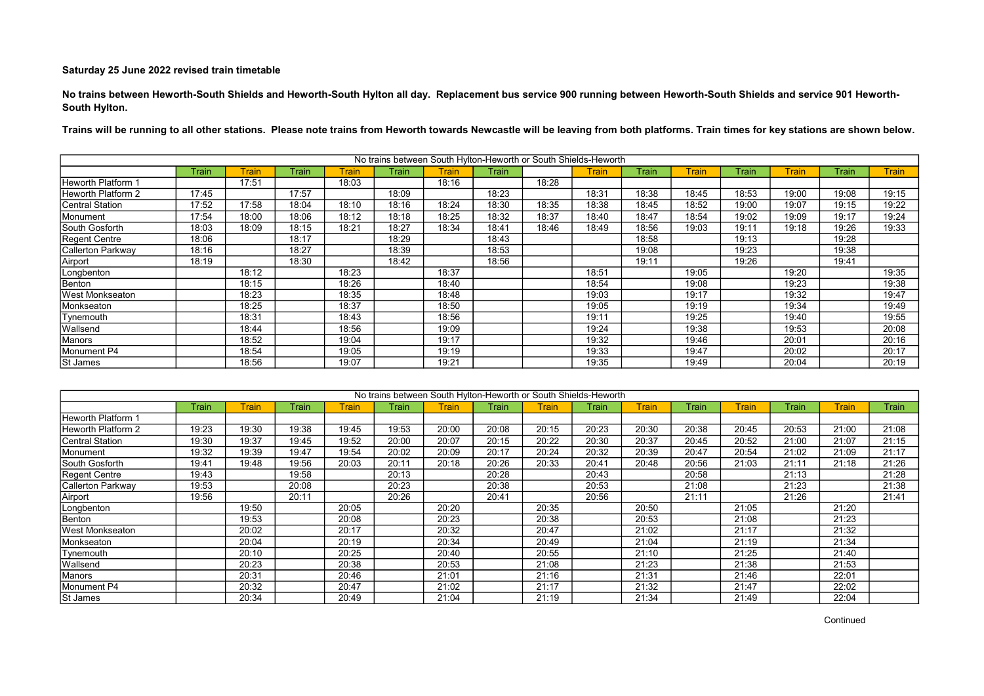No trains between Heworth-South Shields and Heworth-South Hylton all day. Replacement bus service 900 running between Heworth-South Shields and service 901 Heworth-South Hylton.

|                        |       |              |       |              |       |              | No trains between South Hylton-Heworth or South Shields-Heworth |       |       |       |              |              |       |       |              |
|------------------------|-------|--------------|-------|--------------|-------|--------------|-----------------------------------------------------------------|-------|-------|-------|--------------|--------------|-------|-------|--------------|
|                        | Train | <b>Train</b> | Train | <b>Train</b> | Train | <b>Train</b> | Train                                                           |       | Train | Train | <b>Train</b> | <b>Train</b> | Train | Train | <b>Train</b> |
| Heworth Platform 1     |       | 17:51        |       | 18:03        |       | 18:16        |                                                                 | 18:28 |       |       |              |              |       |       |              |
| Heworth Platform 2     | 17:45 |              | 17:57 |              | 18:09 |              | 18:23                                                           |       | 18:31 | 18:38 | 18:45        | 18:53        | 19:00 | 19:08 | 19:15        |
| <b>Central Station</b> | 17:52 | 17:58        | 18:04 | 18:10        | 18:16 | 18:24        | 18:30                                                           | 18:35 | 18:38 | 18:45 | 18:52        | 19:00        | 19:07 | 19:15 | 19:22        |
| Monument               | 17:54 | 18:00        | 18:06 | 18:12        | 18:18 | 18:25        | 18:32                                                           | 18:37 | 18:40 | 18:47 | 18:54        | 19:02        | 19:09 | 19:17 | 19:24        |
| South Gosforth         | 18:03 | 18:09        | 18:15 | 18:21        | 18:27 | 18:34        | 18:41                                                           | 18:46 | 18:49 | 18:56 | 19:03        | 19:11        | 19:18 | 19:26 | 19:33        |
| Regent Centre          | 18:06 |              | 18:17 |              | 18:29 |              | 18:43                                                           |       |       | 18:58 |              | 19:13        |       | 19:28 |              |
| Callerton Parkway      | 18:16 |              | 18:27 |              | 18:39 |              | 18:53                                                           |       |       | 19:08 |              | 19:23        |       | 19:38 |              |
| Airport                | 18:19 |              | 18:30 |              | 18:42 |              | 18:56                                                           |       |       | 19:11 |              | 19:26        |       | 19:41 |              |
| Longbenton             |       | 18:12        |       | 18:23        |       | 18:37        |                                                                 |       | 18:51 |       | 19:05        |              | 19:20 |       | 19:35        |
| Benton                 |       | 18:15        |       | 18:26        |       | 18:40        |                                                                 |       | 18:54 |       | 19:08        |              | 19:23 |       | 19:38        |
| <b>West Monkseaton</b> |       | 18:23        |       | 18:35        |       | 18:48        |                                                                 |       | 19:03 |       | 19:17        |              | 19:32 |       | 19:47        |
| Monkseaton             |       | 18:25        |       | 18:37        |       | 18:50        |                                                                 |       | 19:05 |       | 19:19        |              | 19:34 |       | 19:49        |
| Tynemouth              |       | 18:31        |       | 18:43        |       | 18:56        |                                                                 |       | 19:11 |       | 19:25        |              | 19:40 |       | 19:55        |
| Wallsend               |       | 18:44        |       | 18:56        |       | 19:09        |                                                                 |       | 19:24 |       | 19:38        |              | 19:53 |       | 20:08        |
| Manors                 |       | 18:52        |       | 19:04        |       | 19:17        |                                                                 |       | 19:32 |       | 19:46        |              | 20:01 |       | 20:16        |
| Monument P4            |       | 18:54        |       | 19:05        |       | 19:19        |                                                                 |       | 19:33 |       | 19:47        |              | 20:02 |       | 20:17        |
| St James               |       | 18:56        |       | 19:07        |       | 19:21        |                                                                 |       | 19:35 |       | 19:49        |              | 20:04 |       | 20:19        |

|                    |       |       |       |         |       |              | No trains between South Hylton-Heworth or South Shields-Heworth |       |       |              |       |              |              |              |              |
|--------------------|-------|-------|-------|---------|-------|--------------|-----------------------------------------------------------------|-------|-------|--------------|-------|--------------|--------------|--------------|--------------|
|                    | Train | Train | Train | Train l | Train | <b>Train</b> | Train                                                           | Train | Train | <b>Train</b> | Train | <b>Train</b> | <b>Train</b> | <b>Train</b> | <b>Train</b> |
| Heworth Platform 1 |       |       |       |         |       |              |                                                                 |       |       |              |       |              |              |              |              |
| Heworth Platform 2 | 19:23 | 19:30 | 19:38 | 19:45   | 19:53 | 20:00        | 20:08                                                           | 20:15 | 20:23 | 20:30        | 20:38 | 20:45        | 20:53        | 21:00        | 21:08        |
| Central Station    | 19:30 | 19:37 | 19:45 | 19:52   | 20:00 | 20:07        | 20:15                                                           | 20:22 | 20:30 | 20:37        | 20:45 | 20:52        | 21:00        | 21:07        | 21:15        |
| Monument           | 19:32 | 19:39 | 19:47 | 19:54   | 20:02 | 20:09        | 20:17                                                           | 20:24 | 20:32 | 20:39        | 20:47 | 20:54        | 21:02        | 21:09        | 21:17        |
| South Gosforth     | 19:41 | 19:48 | 19:56 | 20:03   | 20:11 | 20:18        | 20:26                                                           | 20:33 | 20:41 | 20:48        | 20:56 | 21:03        | 21:11        | 21:18        | 21:26        |
| Regent Centre      | 19:43 |       | 19:58 |         | 20:13 |              | 20:28                                                           |       | 20:43 |              | 20:58 |              | 21:13        |              | 21:28        |
| Callerton Parkway  | 19:53 |       | 20:08 |         | 20:23 |              | 20:38                                                           |       | 20:53 |              | 21:08 |              | 21:23        |              | 21:38        |
| Airport            | 19:56 |       | 20:11 |         | 20:26 |              | 20:41                                                           |       | 20:56 |              | 21:11 |              | 21:26        |              | 21:41        |
| Longbenton         |       | 19:50 |       | 20:05   |       | 20:20        |                                                                 | 20:35 |       | 20:50        |       | 21:05        |              | 21:20        |              |
| Benton             |       | 19:53 |       | 20:08   |       | 20:23        |                                                                 | 20:38 |       | 20:53        |       | 21:08        |              | 21:23        |              |
| West Monkseaton    |       | 20:02 |       | 20:17   |       | 20:32        |                                                                 | 20:47 |       | 21:02        |       | 21:17        |              | 21:32        |              |
| Monkseaton         |       | 20:04 |       | 20:19   |       | 20:34        |                                                                 | 20:49 |       | 21:04        |       | 21:19        |              | 21:34        |              |
| Tynemouth          |       | 20:10 |       | 20:25   |       | 20:40        |                                                                 | 20:55 |       | 21:10        |       | 21:25        |              | 21:40        |              |
| Wallsend           |       | 20:23 |       | 20:38   |       | 20:53        |                                                                 | 21:08 |       | 21:23        |       | 21:38        |              | 21:53        |              |
| Manors             |       | 20:31 |       | 20:46   |       | 21:01        |                                                                 | 21:16 |       | 21:31        |       | 21:46        |              | 22:01        |              |
| Monument P4        |       | 20:32 |       | 20:47   |       | 21:02        |                                                                 | 21:17 |       | 21:32        |       | 21:47        |              | 22:02        |              |
| <b>St James</b>    |       | 20:34 |       | 20:49   |       | 21:04        |                                                                 | 21:19 |       | 21:34        |       | 21:49        |              | 22:04        |              |